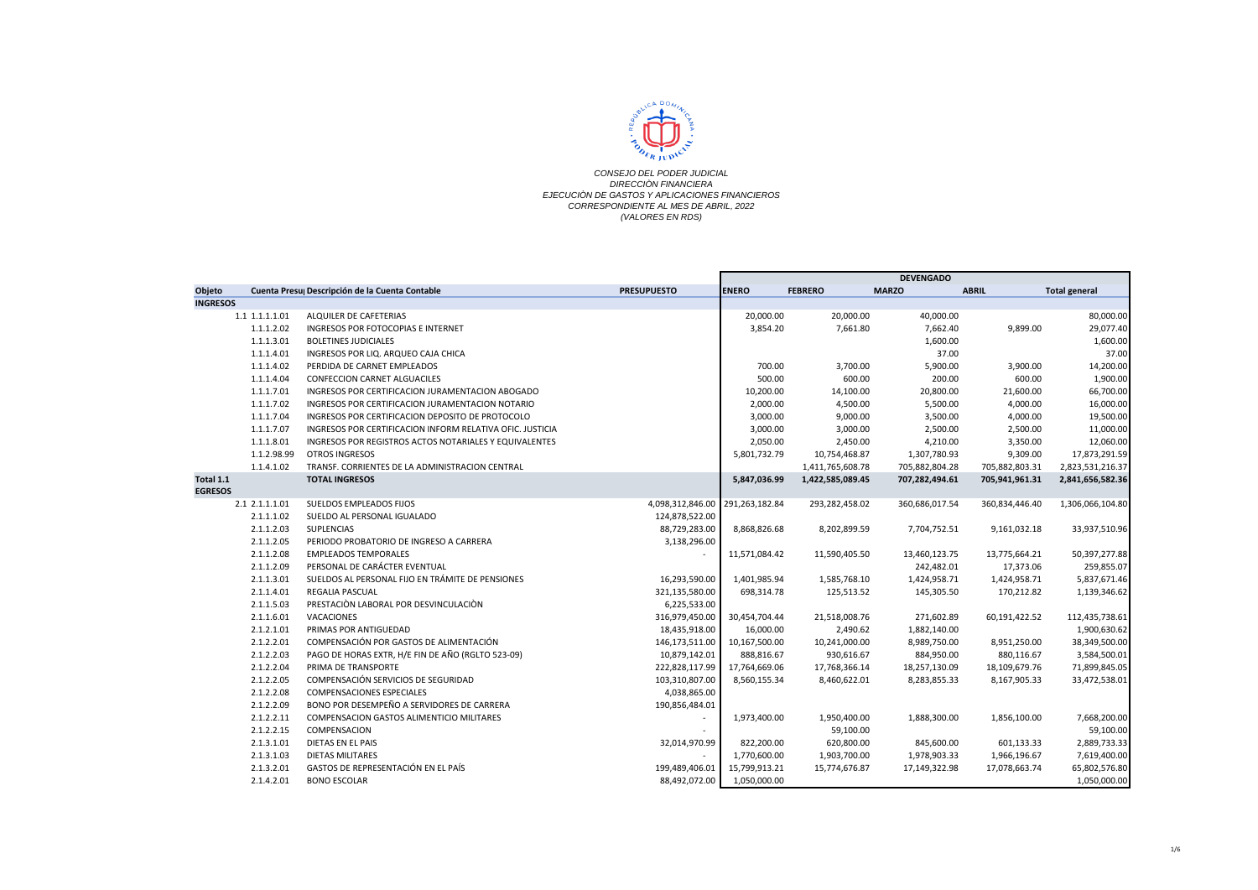

|                 |             |                                                           |                                 | <b>DEVENGADO</b> |                  |                |                |                      |
|-----------------|-------------|-----------------------------------------------------------|---------------------------------|------------------|------------------|----------------|----------------|----------------------|
| Objeto          |             | Cuenta Presu Descripción de la Cuenta Contable            | <b>PRESUPUESTO</b>              | <b>ENERO</b>     | <b>FEBRERO</b>   | <b>MARZO</b>   | <b>ABRIL</b>   | <b>Total general</b> |
| <b>INGRESOS</b> |             |                                                           |                                 |                  |                  |                |                |                      |
| 1.1 1.1.1.1.01  |             | ALQUILER DE CAFETERIAS                                    |                                 | 20,000.00        | 20,000.00        | 40,000.00      |                | 80,000.00            |
|                 | 1.1.1.2.02  | INGRESOS POR FOTOCOPIAS E INTERNET                        |                                 | 3,854.20         | 7,661.80         | 7,662.40       | 9,899.00       | 29,077.40            |
|                 | 1.1.1.3.01  | <b>BOLETINES JUDICIALES</b>                               |                                 |                  |                  | 1,600.00       |                | 1,600.00             |
|                 | 1.1.1.4.01  | INGRESOS POR LIQ. ARQUEO CAJA CHICA                       |                                 |                  |                  | 37.00          |                | 37.00                |
|                 | 1.1.1.4.02  | PERDIDA DE CARNET EMPLEADOS                               |                                 | 700.00           | 3,700.00         | 5,900.00       | 3,900.00       | 14,200.00            |
|                 | 1.1.1.4.04  | <b>CONFECCION CARNET ALGUACILES</b>                       |                                 | 500.00           | 600.00           | 200.00         | 600.00         | 1,900.00             |
|                 | 1.1.1.7.01  | INGRESOS POR CERTIFICACION JURAMENTACION ABOGADO          |                                 | 10,200.00        | 14,100.00        | 20,800.00      | 21,600.00      | 66,700.00            |
|                 | 1.1.1.7.02  | INGRESOS POR CERTIFICACION JURAMENTACION NOTARIO          |                                 | 2,000.00         | 4,500.00         | 5,500.00       | 4,000.00       | 16,000.00            |
|                 | 1.1.1.7.04  | INGRESOS POR CERTIFICACION DEPOSITO DE PROTOCOLO          |                                 | 3,000.00         | 9,000.00         | 3,500.00       | 4,000.00       | 19,500.00            |
|                 | 1.1.1.7.07  | INGRESOS POR CERTIFICACION INFORM RELATIVA OFIC. JUSTICIA |                                 | 3,000.00         | 3,000.00         | 2,500.00       | 2,500.00       | 11,000.00            |
|                 | 1.1.1.8.01  | INGRESOS POR REGISTROS ACTOS NOTARIALES Y EQUIVALENTES    |                                 | 2,050.00         | 2,450.00         | 4,210.00       | 3,350.00       | 12,060.00            |
|                 | 1.1.2.98.99 | <b>OTROS INGRESOS</b>                                     |                                 | 5,801,732.79     | 10,754,468.87    | 1,307,780.93   | 9,309.00       | 17,873,291.59        |
|                 | 1.1.4.1.02  | TRANSF. CORRIENTES DE LA ADMINISTRACION CENTRAL           |                                 |                  | 1,411,765,608.78 | 705,882,804.28 | 705,882,803.31 | 2,823,531,216.37     |
| Total 1.1       |             | <b>TOTAL INGRESOS</b>                                     |                                 | 5,847,036.99     | 1,422,585,089.45 | 707,282,494.61 | 705,941,961.31 | 2,841,656,582.36     |
| <b>EGRESOS</b>  |             |                                                           |                                 |                  |                  |                |                |                      |
| 2.1 2.1.1.1.01  |             | SUELDOS EMPLEADOS FIJOS                                   | 4,098,312,846.00 291,263,182.84 |                  | 293,282,458.02   | 360,686,017.54 | 360,834,446.40 | 1,306,066,104.80     |
|                 | 2.1.1.1.02  | SUELDO AL PERSONAL IGUALADO                               | 124,878,522.00                  |                  |                  |                |                |                      |
|                 | 2.1.1.2.03  | <b>SUPLENCIAS</b>                                         | 88,729,283.00                   | 8,868,826.68     | 8,202,899.59     | 7,704,752.51   | 9,161,032.18   | 33,937,510.96        |
|                 | 2.1.1.2.05  | PERIODO PROBATORIO DE INGRESO A CARRERA                   | 3,138,296.00                    |                  |                  |                |                |                      |
|                 | 2.1.1.2.08  | <b>EMPLEADOS TEMPORALES</b>                               |                                 | 11,571,084.42    | 11,590,405.50    | 13,460,123.75  | 13,775,664.21  | 50,397,277.88        |
|                 | 2.1.1.2.09  | PERSONAL DE CARÁCTER EVENTUAL                             |                                 |                  |                  | 242,482.01     | 17,373.06      | 259,855.07           |
|                 | 2.1.1.3.01  | SUELDOS AL PERSONAL FIJO EN TRÁMITE DE PENSIONES          | 16,293,590.00                   | 1,401,985.94     | 1,585,768.10     | 1,424,958.71   | 1,424,958.71   | 5,837,671.46         |
|                 | 2.1.1.4.01  | REGALIA PASCUAL                                           | 321,135,580.00                  | 698,314.78       | 125,513.52       | 145,305.50     | 170,212.82     | 1,139,346.62         |
|                 | 2.1.1.5.03  | PRESTACIÓN LABORAL POR DESVINCULACIÓN                     | 6,225,533.00                    |                  |                  |                |                |                      |
|                 | 2.1.1.6.01  | VACACIONES                                                | 316,979,450.00                  | 30,454,704.44    | 21,518,008.76    | 271,602.89     | 60,191,422.52  | 112,435,738.61       |
|                 | 2.1.2.1.01  | PRIMAS POR ANTIGUEDAD                                     | 18,435,918.00                   | 16,000.00        | 2,490.62         | 1,882,140.00   |                | 1,900,630.62         |
|                 | 2.1.2.2.01  | COMPENSACIÓN POR GASTOS DE ALIMENTACIÓN                   | 146,173,511.00                  | 10,167,500.00    | 10,241,000.00    | 8,989,750.00   | 8,951,250.00   | 38,349,500.00        |
|                 | 2.1.2.2.03  | PAGO DE HORAS EXTR, H/E FIN DE AÑO (RGLTO 523-09)         | 10,879,142.01                   | 888,816.67       | 930,616.67       | 884,950.00     | 880,116.67     | 3,584,500.01         |
|                 | 2.1.2.2.04  | PRIMA DE TRANSPORTE                                       | 222,828,117.99                  | 17,764,669.06    | 17,768,366.14    | 18,257,130.09  | 18,109,679.76  | 71,899,845.05        |
|                 | 2.1.2.2.05  | COMPENSACIÓN SERVICIOS DE SEGURIDAD                       | 103,310,807.00                  | 8,560,155.34     | 8,460,622.01     | 8,283,855.33   | 8,167,905.33   | 33,472,538.01        |
|                 | 2.1.2.2.08  | <b>COMPENSACIONES ESPECIALES</b>                          | 4,038,865.00                    |                  |                  |                |                |                      |
|                 | 2.1.2.2.09  | BONO POR DESEMPEÑO A SERVIDORES DE CARRERA                | 190,856,484.01                  |                  |                  |                |                |                      |
|                 | 2.1.2.2.11  | COMPENSACION GASTOS ALIMENTICIO MILITARES                 |                                 | 1,973,400.00     | 1,950,400.00     | 1,888,300.00   | 1,856,100.00   | 7,668,200.00         |
|                 | 2.1.2.2.15  | COMPENSACION                                              |                                 |                  | 59,100.00        |                |                | 59,100.00            |
|                 | 2.1.3.1.01  | DIETAS EN EL PAIS                                         | 32,014,970.99                   | 822,200.00       | 620,800.00       | 845,600.00     | 601,133.33     | 2,889,733.33         |
|                 | 2.1.3.1.03  | <b>DIETAS MILITARES</b>                                   | $\sim$                          | 1,770,600.00     | 1,903,700.00     | 1,978,903.33   | 1,966,196.67   | 7,619,400.00         |
|                 | 2.1.3.2.01  | GASTOS DE REPRESENTACIÓN EN EL PAÍS                       | 199,489,406.01                  | 15,799,913.21    | 15,774,676.87    | 17,149,322.98  | 17,078,663.74  | 65,802,576.80        |
|                 | 2.1.4.2.01  | <b>BONO ESCOLAR</b>                                       | 88,492,072.00                   | 1,050,000.00     |                  |                |                | 1,050,000.00         |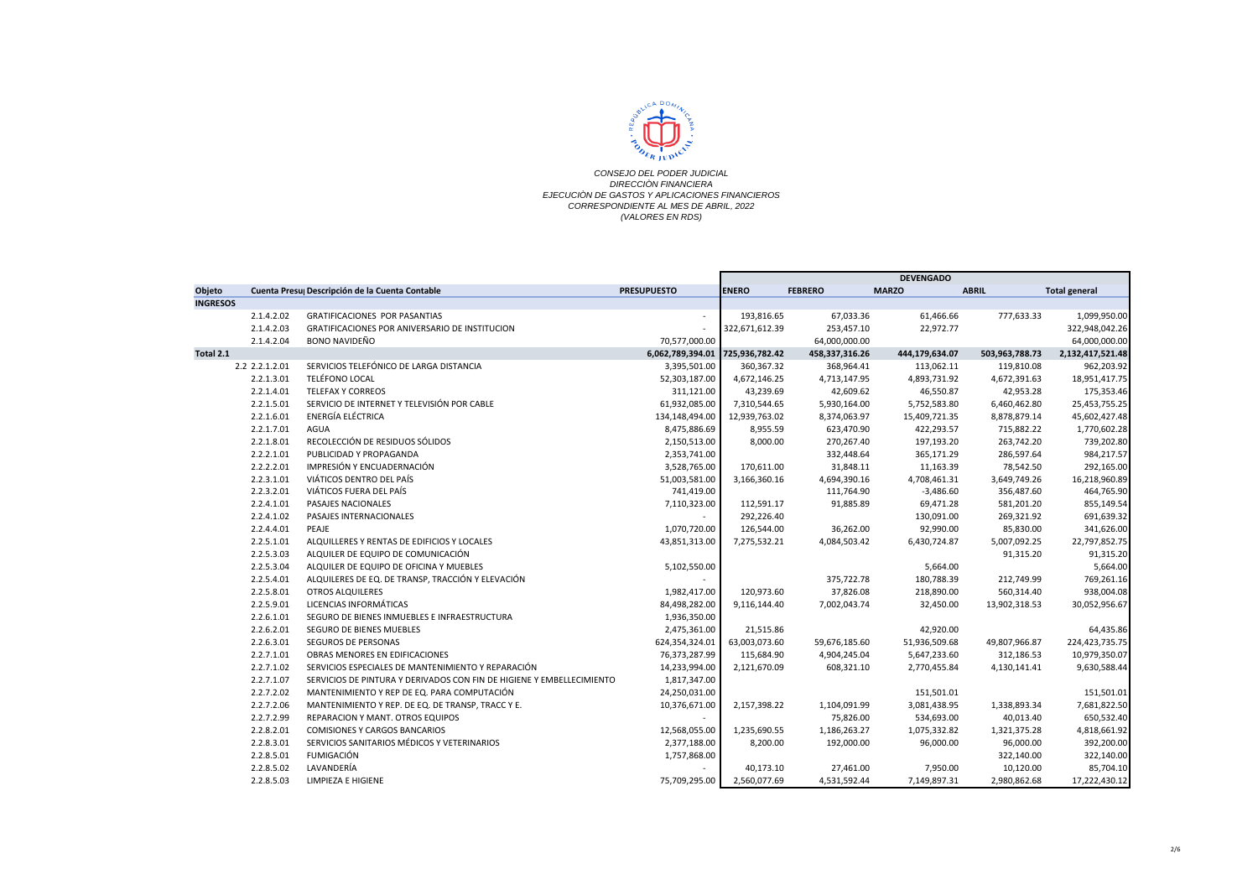

|                 |                |                                                                       |                    |                |                | <b>DEVENGADO</b> |                |                      |
|-----------------|----------------|-----------------------------------------------------------------------|--------------------|----------------|----------------|------------------|----------------|----------------------|
| Objeto          |                | Cuenta Presu Descripción de la Cuenta Contable                        | <b>PRESUPUESTO</b> | <b>ENERO</b>   | <b>FEBRERO</b> | <b>MARZO</b>     | <b>ABRIL</b>   | <b>Total general</b> |
| <b>INGRESOS</b> |                |                                                                       |                    |                |                |                  |                |                      |
|                 | 2.1.4.2.02     | <b>GRATIFICACIONES POR PASANTIAS</b>                                  | $\sim$             | 193,816.65     | 67,033.36      | 61,466.66        | 777,633.33     | 1,099,950.00         |
|                 | 2.1.4.2.03     | GRATIFICACIONES POR ANIVERSARIO DE INSTITUCION                        |                    | 322,671,612.39 | 253,457.10     | 22,972.77        |                | 322,948,042.26       |
|                 | 2.1.4.2.04     | <b>BONO NAVIDEÑO</b>                                                  | 70,577,000.00      |                | 64,000,000.00  |                  |                | 64,000,000.00        |
| Total 2.1       |                |                                                                       | 6,062,789,394.01   | 725,936,782.42 | 458,337,316.26 | 444,179,634.07   | 503,963,788.73 | 2,132,417,521.48     |
|                 | 2.2 2.2.1.2.01 | SERVICIOS TELEFÓNICO DE LARGA DISTANCIA                               | 3,395,501.00       | 360,367.32     | 368,964.41     | 113,062.11       | 119,810.08     | 962,203.92           |
|                 | 2.2.1.3.01     | <b>TELÉFONO LOCAL</b>                                                 | 52,303,187.00      | 4,672,146.25   | 4,713,147.95   | 4,893,731.92     | 4,672,391.63   | 18,951,417.75        |
|                 | 2.2.1.4.01     | <b>TELEFAX Y CORREOS</b>                                              | 311,121.00         | 43,239.69      | 42,609.62      | 46,550.87        | 42,953.28      | 175,353.46           |
|                 | 2.2.1.5.01     | SERVICIO DE INTERNET Y TELEVISIÓN POR CABLE                           | 61,932,085.00      | 7,310,544.65   | 5,930,164.00   | 5,752,583.80     | 6,460,462.80   | 25,453,755.25        |
|                 | 2.2.1.6.01     | ENERGÍA ELÉCTRICA                                                     | 134,148,494.00     | 12,939,763.02  | 8,374,063.97   | 15,409,721.35    | 8,878,879.14   | 45,602,427.48        |
|                 | 2.2.1.7.01     | <b>AGUA</b>                                                           | 8,475,886.69       | 8,955.59       | 623,470.90     | 422,293.57       | 715,882.22     | 1,770,602.28         |
|                 | 2.2.1.8.01     | RECOLECCIÓN DE RESIDUOS SÓLIDOS                                       | 2,150,513.00       | 8,000.00       | 270,267.40     | 197,193.20       | 263,742.20     | 739,202.80           |
|                 | 2.2.2.1.01     | PUBLICIDAD Y PROPAGANDA                                               | 2,353,741.00       |                | 332,448.64     | 365,171.29       | 286,597.64     | 984,217.57           |
|                 | 2.2.2.2.01     | IMPRESIÓN Y ENCUADERNACIÓN                                            | 3,528,765.00       | 170,611.00     | 31,848.11      | 11,163.39        | 78,542.50      | 292,165.00           |
|                 | 2.2.3.1.01     | VIÁTICOS DENTRO DEL PAÍS                                              | 51,003,581.00      | 3,166,360.16   | 4,694,390.16   | 4,708,461.31     | 3,649,749.26   | 16,218,960.89        |
|                 | 2.2.3.2.01     | VIÁTICOS FUERA DEL PAÍS                                               | 741,419.00         |                | 111,764.90     | $-3,486.60$      | 356,487.60     | 464,765.90           |
|                 | 2.2.4.1.01     | PASAJES NACIONALES                                                    | 7,110,323.00       | 112,591.17     | 91,885.89      | 69,471.28        | 581,201.20     | 855,149.54           |
|                 | 2.2.4.1.02     | PASAJES INTERNACIONALES                                               |                    | 292,226.40     |                | 130,091.00       | 269,321.92     | 691,639.32           |
|                 | 2.2.4.4.01     | PEAJE                                                                 | 1,070,720.00       | 126,544.00     | 36,262.00      | 92,990.00        | 85,830.00      | 341,626.00           |
|                 | 2.2.5.1.01     | ALQUILLERES Y RENTAS DE EDIFICIOS Y LOCALES                           | 43,851,313.00      | 7,275,532.21   | 4,084,503.42   | 6,430,724.87     | 5,007,092.25   | 22,797,852.75        |
|                 | 2.2.5.3.03     | ALQUILER DE EQUIPO DE COMUNICACIÓN                                    |                    |                |                |                  | 91,315.20      | 91,315.20            |
|                 | 2.2.5.3.04     | ALQUILER DE EQUIPO DE OFICINA Y MUEBLES                               | 5,102,550.00       |                |                | 5,664.00         |                | 5,664.00             |
|                 | 2.2.5.4.01     | ALQUILERES DE EQ. DE TRANSP, TRACCIÓN Y ELEVACIÓN                     |                    |                | 375,722.78     | 180,788.39       | 212,749.99     | 769,261.16           |
|                 | 2.2.5.8.01     | <b>OTROS ALQUILERES</b>                                               | 1,982,417.00       | 120.973.60     | 37,826.08      | 218,890.00       | 560,314.40     | 938,004.08           |
|                 | 2.2.5.9.01     | LICENCIAS INFORMÁTICAS                                                | 84,498,282.00      | 9,116,144.40   | 7,002,043.74   | 32,450.00        | 13,902,318.53  | 30,052,956.67        |
|                 | 2.2.6.1.01     | SEGURO DE BIENES INMUEBLES E INFRAESTRUCTURA                          | 1,936,350.00       |                |                |                  |                |                      |
|                 | 2.2.6.2.01     | SEGURO DE BIENES MUEBLES                                              | 2,475,361.00       | 21,515.86      |                | 42,920.00        |                | 64,435.86            |
|                 | 2.2.6.3.01     | SEGUROS DE PERSONAS                                                   | 624,354,324.01     | 63,003,073.60  | 59,676,185.60  | 51,936,509.68    | 49,807,966.87  | 224,423,735.75       |
|                 | 2.2.7.1.01     | OBRAS MENORES EN EDIFICACIONES                                        | 76,373,287.99      | 115,684.90     | 4,904,245.04   | 5,647,233.60     | 312,186.53     | 10,979,350.07        |
|                 | 2.2.7.1.02     | SERVICIOS ESPECIALES DE MANTENIMIENTO Y REPARACIÓN                    | 14,233,994.00      | 2,121,670.09   | 608,321.10     | 2,770,455.84     | 4,130,141.41   | 9,630,588.44         |
|                 | 2.2.7.1.07     | SERVICIOS DE PINTURA Y DERIVADOS CON FIN DE HIGIENE Y EMBELLECIMIENTO | 1,817,347.00       |                |                |                  |                |                      |
|                 | 2.2.7.2.02     | MANTENIMIENTO Y REP DE EQ. PARA COMPUTACIÓN                           | 24,250,031.00      |                |                | 151,501.01       |                | 151,501.01           |
|                 | 2.2.7.2.06     | MANTENIMIENTO Y REP. DE EQ. DE TRANSP, TRACC Y E.                     | 10,376,671.00      | 2,157,398.22   | 1,104,091.99   | 3,081,438.95     | 1,338,893.34   | 7,681,822.50         |
|                 | 2.2.7.2.99     | <b>REPARACION Y MANT. OTROS EQUIPOS</b>                               |                    |                | 75,826.00      | 534,693.00       | 40,013.40      | 650,532.40           |
|                 | 2.2.8.2.01     | <b>COMISIONES Y CARGOS BANCARIOS</b>                                  | 12,568,055.00      | 1,235,690.55   | 1,186,263.27   | 1,075,332.82     | 1,321,375.28   | 4,818,661.92         |
|                 | 2.2.8.3.01     | SERVICIOS SANITARIOS MÉDICOS Y VETERINARIOS                           | 2,377,188.00       | 8,200.00       | 192,000.00     | 96,000.00        | 96,000.00      | 392,200.00           |
|                 | 2.2.8.5.01     | <b>FUMIGACIÓN</b>                                                     | 1,757,868.00       |                |                |                  | 322,140.00     | 322,140.00           |
|                 | 2.2.8.5.02     | LAVANDERÍA                                                            |                    | 40,173.10      | 27,461.00      | 7,950.00         | 10,120.00      | 85,704.10            |
|                 | 2.2.8.5.03     | LIMPIEZA E HIGIENE                                                    | 75,709,295.00      | 2,560,077.69   | 4,531,592.44   | 7,149,897.31     | 2,980,862.68   | 17,222,430.12        |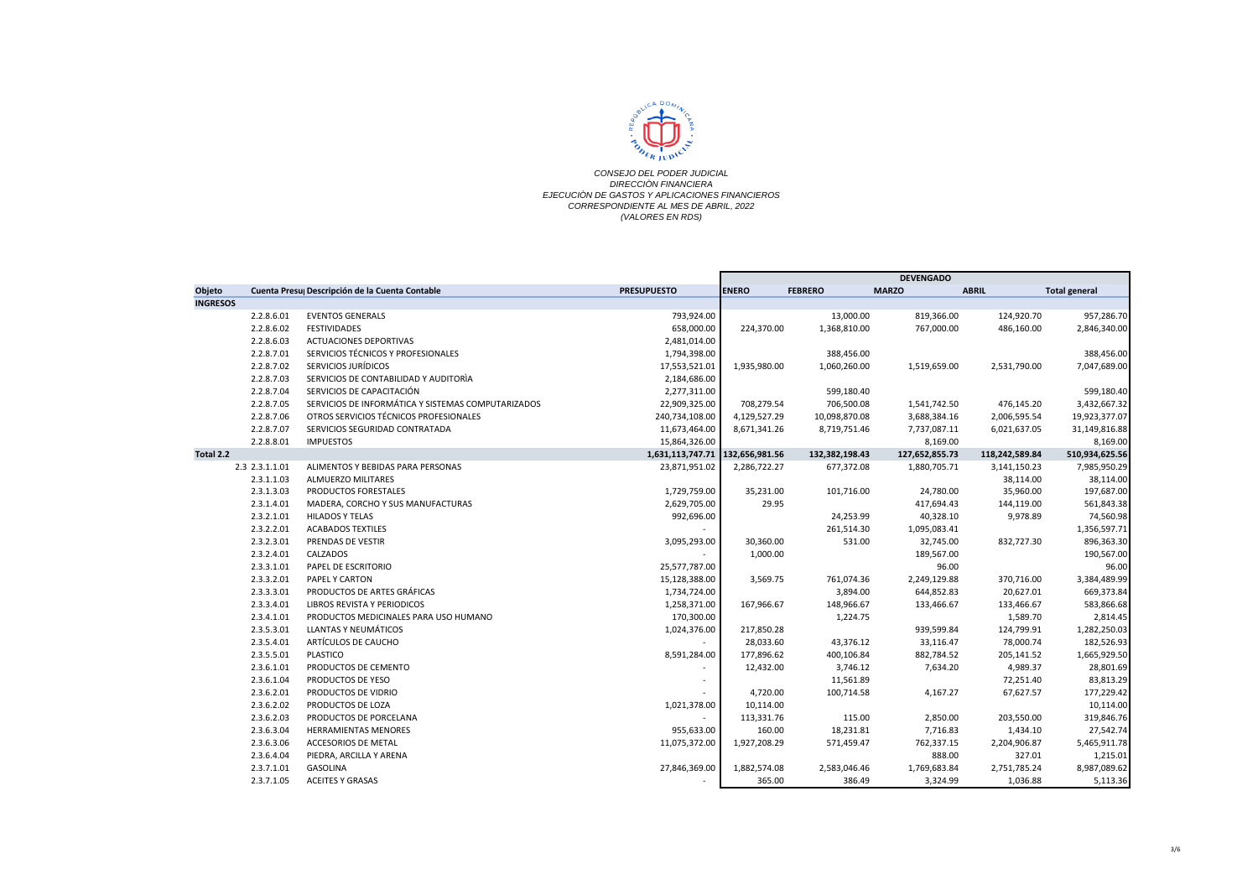

|                 |                |                                                    |                    | <b>DEVENGADO</b> |                |                |                |                      |
|-----------------|----------------|----------------------------------------------------|--------------------|------------------|----------------|----------------|----------------|----------------------|
| Objeto          |                | Cuenta Presu Descripción de la Cuenta Contable     | <b>PRESUPUESTO</b> | <b>ENERO</b>     | <b>FEBRERO</b> | <b>MARZO</b>   | <b>ABRIL</b>   | <b>Total general</b> |
| <b>INGRESOS</b> |                |                                                    |                    |                  |                |                |                |                      |
|                 | 2.2.8.6.01     | <b>EVENTOS GENERALS</b>                            | 793,924.00         |                  | 13,000.00      | 819,366.00     | 124,920.70     | 957,286.70           |
|                 | 2.2.8.6.02     | <b>FESTIVIDADES</b>                                | 658,000.00         | 224,370.00       | 1,368,810.00   | 767,000.00     | 486,160.00     | 2,846,340.00         |
|                 | 2.2.8.6.03     | <b>ACTUACIONES DEPORTIVAS</b>                      | 2,481,014.00       |                  |                |                |                |                      |
|                 | 2.2.8.7.01     | SERVICIOS TÉCNICOS Y PROFESIONALES                 | 1,794,398.00       |                  | 388,456.00     |                |                | 388,456.00           |
|                 | 2.2.8.7.02     | SERVICIOS JURÍDICOS                                | 17,553,521.01      | 1,935,980.00     | 1,060,260.00   | 1,519,659.00   | 2,531,790.00   | 7,047,689.00         |
|                 | 2.2.8.7.03     | SERVICIOS DE CONTABILIDAD Y AUDITORÍA              | 2,184,686.00       |                  |                |                |                |                      |
|                 | 2.2.8.7.04     | SERVICIOS DE CAPACITACIÓN                          | 2,277,311.00       |                  | 599,180.40     |                |                | 599,180.40           |
|                 | 2.2.8.7.05     | SERVICIOS DE INFORMÁTICA Y SISTEMAS COMPUTARIZADOS | 22,909,325.00      | 708,279.54       | 706,500.08     | 1,541,742.50   | 476,145.20     | 3,432,667.32         |
|                 | 2.2.8.7.06     | OTROS SERVICIOS TÉCNICOS PROFESIONALES             | 240,734,108.00     | 4,129,527.29     | 10,098,870.08  | 3,688,384.16   | 2,006,595.54   | 19,923,377.07        |
|                 | 2.2.8.7.07     | SERVICIOS SEGURIDAD CONTRATADA                     | 11,673,464.00      | 8,671,341.26     | 8,719,751.46   | 7,737,087.11   | 6,021,637.05   | 31,149,816.88        |
|                 | 2.2.8.8.01     | <b>IMPUESTOS</b>                                   | 15,864,326.00      |                  |                | 8,169.00       |                | 8,169.00             |
| Total 2.2       |                |                                                    | 1,631,113,747.71   | 132,656,981.56   | 132,382,198.43 | 127,652,855.73 | 118,242,589.84 | 510,934,625.56       |
|                 | 2.3 2.3.1.1.01 | ALIMENTOS Y BEBIDAS PARA PERSONAS                  | 23,871,951.02      | 2,286,722.27     | 677,372.08     | 1,880,705.71   | 3,141,150.23   | 7,985,950.29         |
|                 | 2.3.1.1.03     | <b>ALMUERZO MILITARES</b>                          |                    |                  |                |                | 38,114.00      | 38,114.00            |
|                 | 2.3.1.3.03     | PRODUCTOS FORESTALES                               | 1,729,759.00       | 35,231.00        | 101,716.00     | 24,780.00      | 35,960.00      | 197,687.00           |
|                 | 2.3.1.4.01     | MADERA, CORCHO Y SUS MANUFACTURAS                  | 2,629,705.00       | 29.95            |                | 417,694.43     | 144,119.00     | 561,843.38           |
|                 | 2.3.2.1.01     | <b>HILADOS Y TELAS</b>                             | 992,696.00         |                  | 24,253.99      | 40,328.10      | 9,978.89       | 74,560.98            |
|                 | 2.3.2.2.01     | <b>ACABADOS TEXTILES</b>                           |                    |                  | 261,514.30     | 1,095,083.41   |                | 1,356,597.71         |
|                 | 2.3.2.3.01     | PRENDAS DE VESTIR                                  | 3,095,293.00       | 30,360.00        | 531.00         | 32,745.00      | 832,727.30     | 896,363.30           |
|                 | 2.3.2.4.01     | CALZADOS                                           |                    | 1,000.00         |                | 189,567.00     |                | 190,567.00           |
|                 | 2.3.3.1.01     | PAPEL DE ESCRITORIO                                | 25,577,787.00      |                  |                | 96.00          |                | 96.00                |
|                 | 2.3.3.2.01     | PAPEL Y CARTON                                     | 15,128,388.00      | 3,569.75         | 761,074.36     | 2,249,129.88   | 370,716.00     | 3,384,489.99         |
|                 | 2.3.3.3.01     | PRODUCTOS DE ARTES GRÁFICAS                        | 1,734,724.00       |                  | 3,894.00       | 644,852.83     | 20,627.01      | 669,373.84           |
|                 | 2.3.3.4.01     | LIBROS REVISTA Y PERIODICOS                        | 1,258,371.00       | 167,966.67       | 148,966.67     | 133,466.67     | 133,466.67     | 583,866.68           |
|                 | 2.3.4.1.01     | PRODUCTOS MEDICINALES PARA USO HUMANO              | 170,300.00         |                  | 1,224.75       |                | 1,589.70       | 2,814.45             |
|                 | 2.3.5.3.01     | LLANTAS Y NEUMÁTICOS                               | 1,024,376.00       | 217,850.28       |                | 939,599.84     | 124,799.91     | 1,282,250.03         |
|                 | 2.3.5.4.01     | ARTÍCULOS DE CAUCHO                                |                    | 28,033.60        | 43,376.12      | 33,116.47      | 78,000.74      | 182,526.93           |
|                 | 2.3.5.5.01     | <b>PLASTICO</b>                                    | 8,591,284.00       | 177,896.62       | 400,106.84     | 882,784.52     | 205,141.52     | 1,665,929.50         |
|                 | 2.3.6.1.01     | PRODUCTOS DE CEMENTO                               |                    | 12,432.00        | 3,746.12       | 7,634.20       | 4,989.37       | 28,801.69            |
|                 | 2.3.6.1.04     | PRODUCTOS DE YESO                                  |                    |                  | 11,561.89      |                | 72,251.40      | 83,813.29            |
|                 | 2.3.6.2.01     | PRODUCTOS DE VIDRIO                                |                    | 4,720.00         | 100,714.58     | 4,167.27       | 67,627.57      | 177,229.42           |
|                 | 2.3.6.2.02     | PRODUCTOS DE LOZA                                  | 1,021,378.00       | 10,114.00        |                |                |                | 10,114.00            |
|                 | 2.3.6.2.03     | PRODUCTOS DE PORCELANA                             |                    | 113,331.76       | 115.00         | 2,850.00       | 203,550.00     | 319,846.76           |
|                 | 2.3.6.3.04     | <b>HERRAMIENTAS MENORES</b>                        | 955,633.00         | 160.00           | 18,231.81      | 7,716.83       | 1,434.10       | 27,542.74            |
|                 | 2.3.6.3.06     | <b>ACCESORIOS DE METAL</b>                         | 11,075,372.00      | 1,927,208.29     | 571,459.47     | 762,337.15     | 2,204,906.87   | 5,465,911.78         |
|                 | 2.3.6.4.04     | PIEDRA, ARCILLA Y ARENA                            |                    |                  |                | 888.00         | 327.01         | 1,215.01             |
|                 | 2.3.7.1.01     | <b>GASOLINA</b>                                    | 27,846,369.00      | 1,882,574.08     | 2,583,046.46   | 1,769,683.84   | 2,751,785.24   | 8,987,089.62         |
|                 | 2.3.7.1.05     | <b>ACEITES Y GRASAS</b>                            |                    | 365.00           | 386.49         | 3,324.99       | 1,036.88       | 5,113.36             |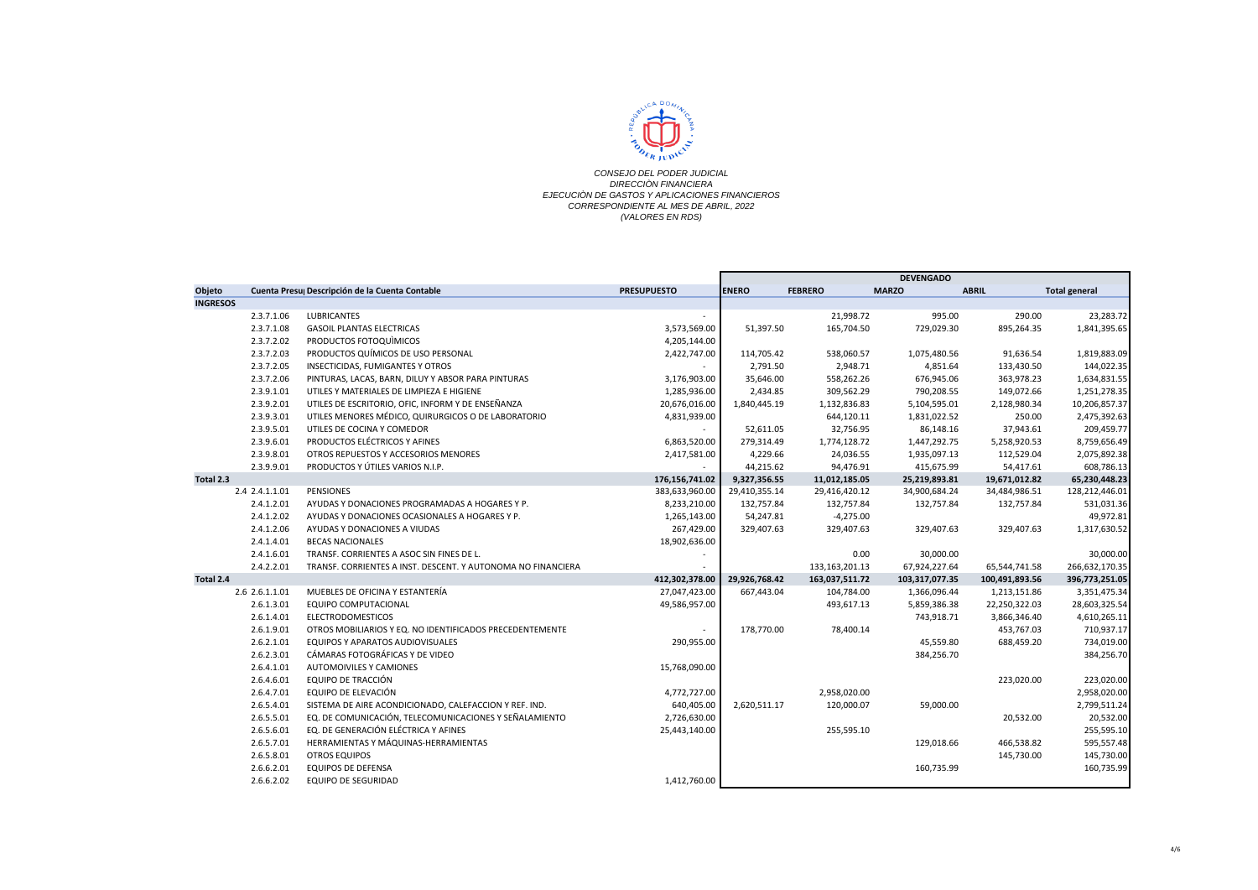

|                 |                |                                                              |                    | <b>DEVENGADO</b> |                   |                |                |                      |
|-----------------|----------------|--------------------------------------------------------------|--------------------|------------------|-------------------|----------------|----------------|----------------------|
| Objeto          |                | Cuenta Presu Descripción de la Cuenta Contable               | <b>PRESUPUESTO</b> | <b>ENERO</b>     | <b>FEBRERO</b>    | <b>MARZO</b>   | <b>ABRIL</b>   | <b>Total general</b> |
| <b>INGRESOS</b> |                |                                                              |                    |                  |                   |                |                |                      |
|                 | 2.3.7.1.06     | LUBRICANTES                                                  |                    |                  | 21,998.72         | 995.00         | 290.00         | 23,283.72            |
|                 | 2.3.7.1.08     | <b>GASOIL PLANTAS ELECTRICAS</b>                             | 3,573,569.00       | 51,397.50        | 165,704.50        | 729,029.30     | 895,264.35     | 1,841,395.65         |
|                 | 2.3.7.2.02     | PRODUCTOS FOTOQUIMICOS                                       | 4,205,144.00       |                  |                   |                |                |                      |
|                 | 2.3.7.2.03     | PRODUCTOS QUÍMICOS DE USO PERSONAL                           | 2,422,747.00       | 114,705.42       | 538,060.57        | 1,075,480.56   | 91,636.54      | 1,819,883.09         |
|                 | 2.3.7.2.05     | INSECTICIDAS, FUMIGANTES Y OTROS                             |                    | 2,791.50         | 2,948.71          | 4,851.64       | 133,430.50     | 144,022.35           |
|                 | 2.3.7.2.06     | PINTURAS, LACAS, BARN, DILUY Y ABSOR PARA PINTURAS           | 3,176,903.00       | 35,646.00        | 558,262.26        | 676,945.06     | 363,978.23     | 1,634,831.55         |
|                 | 2.3.9.1.01     | UTILES Y MATERIALES DE LIMPIEZA E HIGIENE                    | 1,285,936.00       | 2,434.85         | 309,562.29        | 790,208.55     | 149,072.66     | 1,251,278.35         |
|                 | 2.3.9.2.01     | UTILES DE ESCRITORIO, OFIC, INFORM Y DE ENSEÑANZA            | 20,676,016.00      | 1,840,445.19     | 1,132,836.83      | 5,104,595.01   | 2,128,980.34   | 10,206,857.37        |
|                 | 2.3.9.3.01     | UTILES MENORES MÉDICO, QUIRURGICOS O DE LABORATORIO          | 4,831,939.00       |                  | 644,120.11        | 1,831,022.52   | 250.00         | 2,475,392.63         |
|                 | 2.3.9.5.01     | UTILES DE COCINA Y COMEDOR                                   |                    | 52,611.05        | 32,756.95         | 86,148.16      | 37,943.61      | 209,459.77           |
|                 | 2.3.9.6.01     | PRODUCTOS ELÉCTRICOS Y AFINES                                | 6,863,520.00       | 279,314.49       | 1,774,128.72      | 1,447,292.75   | 5,258,920.53   | 8,759,656.49         |
|                 | 2.3.9.8.01     | OTROS REPUESTOS Y ACCESORIOS MENORES                         | 2,417,581.00       | 4,229.66         | 24,036.55         | 1,935,097.13   | 112,529.04     | 2,075,892.38         |
|                 | 2.3.9.9.01     | PRODUCTOS Y ÚTILES VARIOS N.I.P.                             |                    | 44,215.62        | 94,476.91         | 415,675.99     | 54,417.61      | 608,786.13           |
| Total 2.3       |                |                                                              | 176,156,741.02     | 9,327,356.55     | 11,012,185.05     | 25,219,893.81  | 19,671,012.82  | 65,230,448.23        |
|                 | 2.4 2.4.1.1.01 | PENSIONES                                                    | 383,633,960.00     | 29,410,355.14    | 29,416,420.12     | 34,900,684.24  | 34,484,986.51  | 128,212,446.01       |
|                 | 2.4.1.2.01     | AYUDAS Y DONACIONES PROGRAMADAS A HOGARES Y P.               | 8,233,210.00       | 132,757.84       | 132,757.84        | 132,757.84     | 132,757.84     | 531,031.36           |
|                 | 2.4.1.2.02     | AYUDAS Y DONACIONES OCASIONALES A HOGARES Y P.               | 1,265,143.00       | 54,247.81        | $-4,275.00$       |                |                | 49,972.81            |
|                 | 2.4.1.2.06     | AYUDAS Y DONACIONES A VIUDAS                                 | 267,429.00         | 329,407.63       | 329,407.63        | 329,407.63     | 329,407.63     | 1,317,630.52         |
|                 | 2.4.1.4.01     | <b>BECAS NACIONALES</b>                                      | 18,902,636.00      |                  |                   |                |                |                      |
|                 | 2.4.1.6.01     | TRANSF. CORRIENTES A ASOC SIN FINES DE L.                    |                    |                  | 0.00              | 30,000.00      |                | 30,000.00            |
|                 | 2.4.2.2.01     | TRANSF. CORRIENTES A INST. DESCENT. Y AUTONOMA NO FINANCIERA |                    |                  | 133, 163, 201. 13 | 67,924,227.64  | 65,544,741.58  | 266,632,170.35       |
| Total 2.4       |                |                                                              | 412,302,378.00     | 29,926,768.42    | 163,037,511.72    | 103,317,077.35 | 100,491,893.56 | 396,773,251.05       |
|                 | 2.6 2.6.1.1.01 | MUEBLES DE OFICINA Y ESTANTERÍA                              | 27,047,423.00      | 667,443.04       | 104,784.00        | 1,366,096.44   | 1,213,151.86   | 3,351,475.34         |
|                 | 2.6.1.3.01     | EQUIPO COMPUTACIONAL                                         | 49,586,957.00      |                  | 493,617.13        | 5,859,386.38   | 22,250,322.03  | 28,603,325.54        |
|                 | 2.6.1.4.01     | <b>ELECTRODOMESTICOS</b>                                     |                    |                  |                   | 743,918.71     | 3,866,346.40   | 4,610,265.11         |
|                 | 2.6.1.9.01     | OTROS MOBILIARIOS Y EQ. NO IDENTIFICADOS PRECEDENTEMENTE     |                    | 178,770.00       | 78,400.14         |                | 453,767.03     | 710,937.17           |
|                 | 2.6.2.1.01     | EQUIPOS Y APARATOS AUDIOVISUALES                             | 290,955.00         |                  |                   | 45,559.80      | 688,459.20     | 734,019.00           |
|                 | 2.6.2.3.01     | CÁMARAS FOTOGRÁFICAS Y DE VIDEO                              |                    |                  |                   | 384,256.70     |                | 384,256.70           |
|                 | 2.6.4.1.01     | <b>AUTOMOIVILES Y CAMIONES</b>                               | 15,768,090.00      |                  |                   |                |                |                      |
|                 | 2.6.4.6.01     | EQUIPO DE TRACCIÓN                                           |                    |                  |                   |                | 223,020.00     | 223,020.00           |
|                 | 2.6.4.7.01     | EQUIPO DE ELEVACIÓN                                          | 4,772,727.00       |                  | 2,958,020.00      |                |                | 2,958,020.00         |
|                 | 2.6.5.4.01     | SISTEMA DE AIRE ACONDICIONADO, CALEFACCION Y REF. IND.       | 640,405.00         | 2,620,511.17     | 120,000.07        | 59,000.00      |                | 2,799,511.24         |
|                 | 2.6.5.5.01     | EQ. DE COMUNICACIÓN, TELECOMUNICACIONES Y SEÑALAMIENTO       | 2,726,630.00       |                  |                   |                | 20,532.00      | 20,532.00            |
|                 | 2.6.5.6.01     | EQ. DE GENERACIÓN ELÉCTRICA Y AFINES                         | 25,443,140.00      |                  | 255,595.10        |                |                | 255,595.10           |
|                 | 2.6.5.7.01     | HERRAMIENTAS Y MÁQUINAS-HERRAMIENTAS                         |                    |                  |                   | 129,018.66     | 466,538.82     | 595,557.48           |
|                 | 2.6.5.8.01     | <b>OTROS EQUIPOS</b>                                         |                    |                  |                   |                | 145,730.00     | 145,730.00           |
|                 | 2.6.6.2.01     | <b>EQUIPOS DE DEFENSA</b>                                    |                    |                  |                   | 160,735.99     |                | 160,735.99           |
|                 | 2.6.6.2.02     | <b>EQUIPO DE SEGURIDAD</b>                                   | 1,412,760.00       |                  |                   |                |                |                      |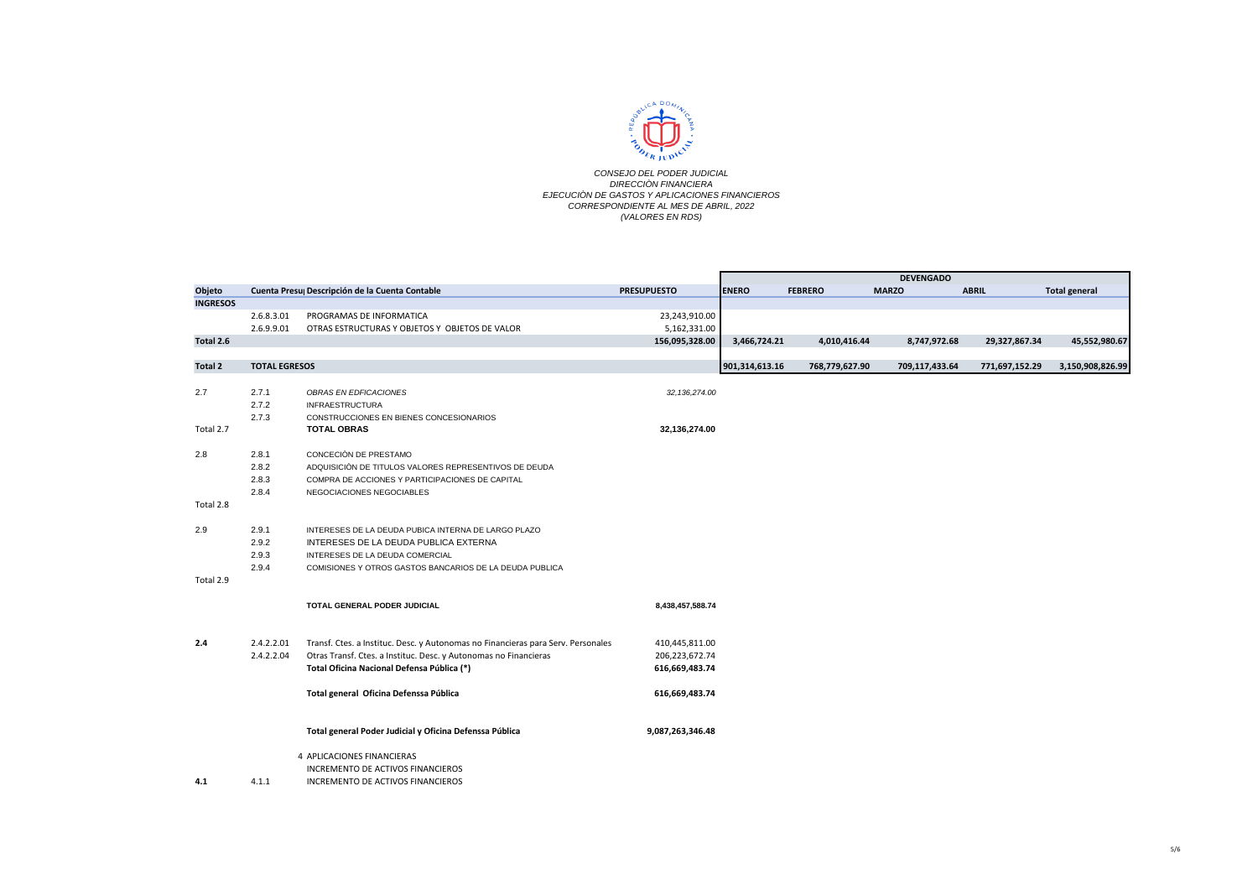

|                 |                      |                                                                                  |                    |                |                | <b>DEVENGADO</b> |                |                      |
|-----------------|----------------------|----------------------------------------------------------------------------------|--------------------|----------------|----------------|------------------|----------------|----------------------|
| Objeto          |                      | Cuenta Presu Descripción de la Cuenta Contable                                   | <b>PRESUPUESTO</b> | <b>ENERO</b>   | <b>FEBRERO</b> | <b>MARZO</b>     | <b>ABRIL</b>   | <b>Total general</b> |
| <b>INGRESOS</b> |                      |                                                                                  |                    |                |                |                  |                |                      |
|                 | 2.6.8.3.01           | PROGRAMAS DE INFORMATICA                                                         | 23,243,910.00      |                |                |                  |                |                      |
|                 | 2.6.9.9.01           | OTRAS ESTRUCTURAS Y OBJETOS Y OBJETOS DE VALOR                                   | 5,162,331.00       |                |                |                  |                |                      |
| Total 2.6       |                      |                                                                                  | 156,095,328.00     | 3,466,724.21   | 4,010,416.44   | 8,747,972.68     | 29,327,867.34  | 45,552,980.67        |
| Total 2         | <b>TOTAL EGRESOS</b> |                                                                                  |                    | 901,314,613.16 | 768,779,627.90 | 709,117,433.64   | 771,697,152.29 | 3,150,908,826.99     |
| 2.7             | 2.7.1                | OBRAS EN EDFICACIONES                                                            | 32, 136, 274.00    |                |                |                  |                |                      |
|                 | 2.7.2                | <b>INFRAESTRUCTURA</b>                                                           |                    |                |                |                  |                |                      |
|                 | 2.7.3                | CONSTRUCCIONES EN BIENES CONCESIONARIOS                                          |                    |                |                |                  |                |                      |
| Total 2.7       |                      | <b>TOTAL OBRAS</b>                                                               | 32,136,274.00      |                |                |                  |                |                      |
| 2.8             | 2.8.1                | CONCECIÓN DE PRESTAMO                                                            |                    |                |                |                  |                |                      |
|                 | 2.8.2                | ADQUISICIÓN DE TITULOS VALORES REPRESENTIVOS DE DEUDA                            |                    |                |                |                  |                |                      |
|                 | 2.8.3                | COMPRA DE ACCIONES Y PARTICIPACIONES DE CAPITAL                                  |                    |                |                |                  |                |                      |
|                 | 2.8.4                | NEGOCIACIONES NEGOCIABLES                                                        |                    |                |                |                  |                |                      |
| Total 2.8       |                      |                                                                                  |                    |                |                |                  |                |                      |
| 2.9             | 2.9.1                | INTERESES DE LA DEUDA PUBICA INTERNA DE LARGO PLAZO                              |                    |                |                |                  |                |                      |
|                 | 2.9.2                | INTERESES DE LA DEUDA PUBLICA EXTERNA                                            |                    |                |                |                  |                |                      |
|                 | 2.9.3                | INTERESES DE LA DEUDA COMERCIAL                                                  |                    |                |                |                  |                |                      |
|                 | 2.9.4                | COMISIONES Y OTROS GASTOS BANCARIOS DE LA DEUDA PUBLICA                          |                    |                |                |                  |                |                      |
| Total 2.9       |                      |                                                                                  |                    |                |                |                  |                |                      |
|                 |                      | TOTAL GENERAL PODER JUDICIAL                                                     | 8,438,457,588.74   |                |                |                  |                |                      |
| 2.4             | 2.4.2.2.01           | Transf. Ctes. a Instituc. Desc. y Autonomas no Financieras para Serv. Personales | 410,445,811.00     |                |                |                  |                |                      |
|                 | 2.4.2.2.04           | Otras Transf. Ctes. a Instituc. Desc. y Autonomas no Financieras                 | 206,223,672.74     |                |                |                  |                |                      |
|                 |                      | Total Oficina Nacional Defensa Pública (*)                                       | 616,669,483.74     |                |                |                  |                |                      |
|                 |                      | Total general Oficina Defenssa Pública                                           | 616,669,483.74     |                |                |                  |                |                      |
|                 |                      | Total general Poder Judicial y Oficina Defenssa Pública                          | 9,087,263,346.48   |                |                |                  |                |                      |
|                 |                      |                                                                                  |                    |                |                |                  |                |                      |
|                 |                      | 4 APLICACIONES FINANCIERAS                                                       |                    |                |                |                  |                |                      |
|                 |                      | INCREMENTO DE ACTIVOS FINANCIEROS                                                |                    |                |                |                  |                |                      |
| 4.1             | 4.1.1                | INCREMENTO DE ACTIVOS FINANCIEROS                                                |                    |                |                |                  |                |                      |